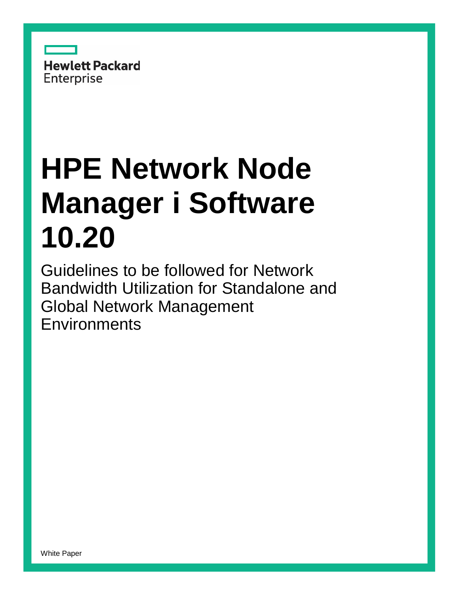

# **HPE Network Node Manager i Software 10.20**

Guidelines to be followed for Network Bandwidth Utilization for Standalone and Global Network Management **Environments**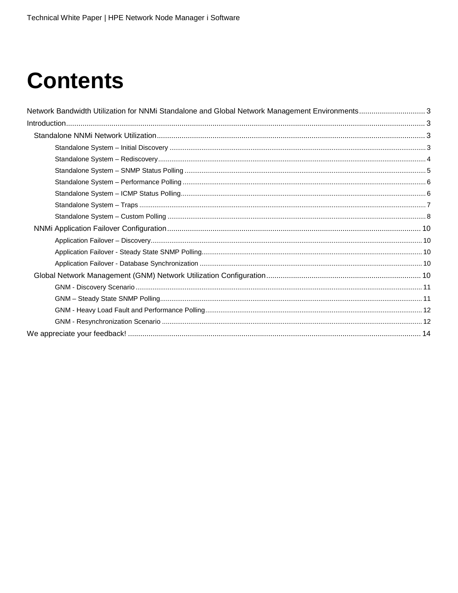# **Contents**

| Network Bandwidth Utilization for NNMi Standalone and Global Network Management Environments3 |  |
|-----------------------------------------------------------------------------------------------|--|
|                                                                                               |  |
|                                                                                               |  |
|                                                                                               |  |
|                                                                                               |  |
|                                                                                               |  |
|                                                                                               |  |
|                                                                                               |  |
|                                                                                               |  |
|                                                                                               |  |
|                                                                                               |  |
|                                                                                               |  |
|                                                                                               |  |
|                                                                                               |  |
|                                                                                               |  |
|                                                                                               |  |
|                                                                                               |  |
|                                                                                               |  |
|                                                                                               |  |
|                                                                                               |  |
|                                                                                               |  |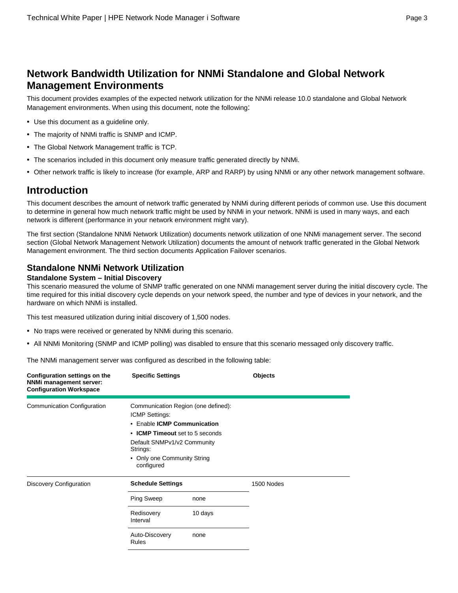# <span id="page-2-0"></span>**Network Bandwidth Utilization for NNMi Standalone and Global Network Management Environments**

This document provides examples of the expected network utilization for the NNMi release 10.0 standalone and Global Network Management environments. When using this document, note the following:

- Use this document as a guideline only.
- The majority of NNMi traffic is SNMP and ICMP.
- The Global Network Management traffic is TCP.
- The scenarios included in this document only measure traffic generated directly by NNMi.
- Other network traffic is likely to increase (for example, ARP and RARP) by using NNMi or any other network management software.

# <span id="page-2-1"></span>**Introduction**

This document describes the amount of network traffic generated by NNMi during different periods of common use. Use this document to determine in general how much network traffic might be used by NNMi in your network. NNMi is used in many ways, and each network is different (performance in your network environment might vary).

The first section (Standalone NNMi Network Utilization) documents network utilization of one NNMi management server. The second section (Global Network Management Network Utilization) documents the amount of network traffic generated in the Global Network Management environment. The third section documents Application Failover scenarios.

### <span id="page-2-2"></span>**Standalone NNMi Network Utilization**

#### <span id="page-2-3"></span>**Standalone System – Initial Discovery**

This scenario measured the volume of SNMP traffic generated on one NNMi management server during the initial discovery cycle. The time required for this initial discovery cycle depends on your network speed, the number and type of devices in your network, and the hardware on which NNMi is installed.

This test measured utilization during initial discovery of 1,500 nodes.

- No traps were received or generated by NNMi during this scenario.
- All NNMi Monitoring (SNMP and ICMP polling) was disabled to ensure that this scenario messaged only discovery traffic.

| Configuration settings on the<br><b>NNMi management server:</b><br><b>Configuration Workspace</b> | <b>Specific Settings</b>                                                                                                                                                                                        |         | <b>Objects</b> |  |
|---------------------------------------------------------------------------------------------------|-----------------------------------------------------------------------------------------------------------------------------------------------------------------------------------------------------------------|---------|----------------|--|
| Communication Configuration                                                                       | Communication Region (one defined):<br>ICMP Settings:<br>• Enable ICMP Communication<br>• ICMP Timeout set to 5 seconds<br>Default SNMPv1/v2 Community<br>Strings:<br>• Only one Community String<br>configured |         |                |  |
| Discovery Configuration                                                                           | <b>Schedule Settings</b>                                                                                                                                                                                        |         | 1500 Nodes     |  |
|                                                                                                   | Ping Sweep                                                                                                                                                                                                      | none    |                |  |
|                                                                                                   | Redisovery<br>Interval                                                                                                                                                                                          | 10 days |                |  |
|                                                                                                   | Auto-Discovery<br>Rules                                                                                                                                                                                         | none    |                |  |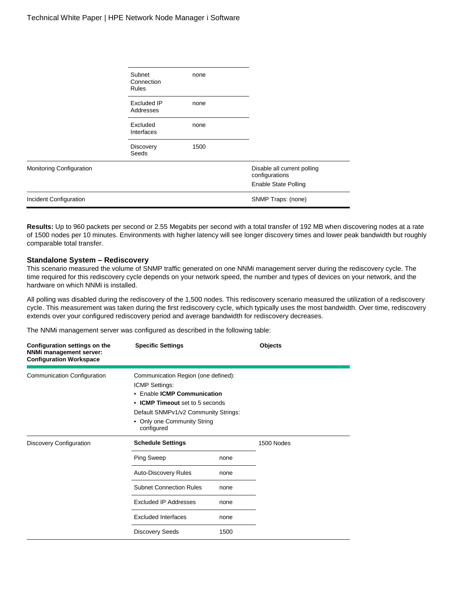|                               | Subnet<br>Connection<br><b>Rules</b> | none |                                               |
|-------------------------------|--------------------------------------|------|-----------------------------------------------|
|                               | Excluded IP<br>Addresses             | none |                                               |
|                               | Excluded<br>Interfaces               | none |                                               |
|                               | <b>Discovery</b><br>Seeds            | 1500 |                                               |
| Monitoring Configuration      |                                      |      | Disable all current polling<br>configurations |
|                               |                                      |      | <b>Enable State Polling</b>                   |
| <b>Incident Configuration</b> |                                      |      | SNMP Traps: (none)                            |

**Results:** Up to 960 packets per second or 2.55 Megabits per second with a total transfer of 192 MB when discovering nodes at a rate of 1500 nodes per 10 minutes. Environments with higher latency will see longer discovery times and lower peak bandwidth but roughly comparable total transfer.

#### <span id="page-3-0"></span>**Standalone System – Rediscovery**

This scenario measured the volume of SNMP traffic generated on one NNMi management server during the rediscovery cycle. The time required for this rediscovery cycle depends on your network speed, the number and types of devices on your network, and the hardware on which NNMi is installed.

All polling was disabled during the rediscovery of the 1,500 nodes. This rediscovery scenario measured the utilization of a rediscovery cycle. This measurement was taken during the first rediscovery cycle, which typically uses the most bandwidth. Over time, rediscovery extends over your configured rediscovery period and average bandwidth for rediscovery decreases.

| Configuration settings on the<br>NNMi management server:<br><b>Configuration Workspace</b> | <b>Specific Settings</b>                                                                                                                                                                                     |      | <b>Objects</b> |
|--------------------------------------------------------------------------------------------|--------------------------------------------------------------------------------------------------------------------------------------------------------------------------------------------------------------|------|----------------|
| Communication Configuration                                                                | Communication Region (one defined):<br>ICMP Settings:<br>• Enable ICMP Communication<br>• ICMP Timeout set to 5 seconds<br>Default SNMPv1/v2 Community Strings:<br>• Only one Community String<br>configured |      |                |
| Discovery Configuration                                                                    | <b>Schedule Settings</b>                                                                                                                                                                                     |      | 1500 Nodes     |
|                                                                                            | Ping Sweep                                                                                                                                                                                                   | none |                |
|                                                                                            | <b>Auto-Discovery Rules</b>                                                                                                                                                                                  | none |                |
|                                                                                            | <b>Subnet Connection Rules</b>                                                                                                                                                                               | none |                |
|                                                                                            | <b>Excluded IP Addresses</b>                                                                                                                                                                                 | none |                |
|                                                                                            | <b>Excluded Interfaces</b>                                                                                                                                                                                   | none |                |
|                                                                                            | <b>Discovery Seeds</b>                                                                                                                                                                                       | 1500 |                |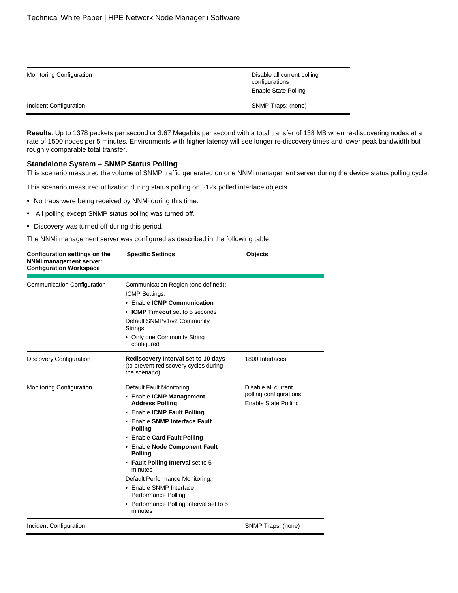| <b>Monitoring Configuration</b> | Disable all current polling<br>configurations<br>Enable State Polling |
|---------------------------------|-----------------------------------------------------------------------|
| Incident Configuration          | SNMP Traps: (none)                                                    |

**Results**: Up to 1378 packets per second or 3.67 Megabits per second with a total transfer of 138 MB when re-discovering nodes at a rate of 1500 nodes per 5 minutes. Environments with higher latency will see longer re-discovery times and lower peak bandwidth but roughly comparable total transfer.

#### <span id="page-4-0"></span>**Standalone System – SNMP Status Polling**

This scenario measured the volume of SNMP traffic generated on one NNMi management server during the device status polling cycle.

This scenario measured utilization during status polling on ~12k polled interface objects.

- No traps were being received by NNMi during this time.
- All polling except SNMP status polling was turned off.
- Discovery was turned off during this period.

| Configuration settings on the<br>NNMi management server:<br><b>Configuration Workspace</b> | <b>Specific Settings</b>                                                                                                                                                                                                                                                                                                                                                                                                                       | <b>Objects</b>                                                               |
|--------------------------------------------------------------------------------------------|------------------------------------------------------------------------------------------------------------------------------------------------------------------------------------------------------------------------------------------------------------------------------------------------------------------------------------------------------------------------------------------------------------------------------------------------|------------------------------------------------------------------------------|
| Communication Configuration                                                                | Communication Region (one defined):<br><b>ICMP Settings:</b><br>• Enable ICMP Communication<br>• ICMP Timeout set to 5 seconds<br>Default SNMPv1/v2 Community<br>Strings:<br>• Only one Community String<br>configured                                                                                                                                                                                                                         |                                                                              |
| <b>Discovery Configuration</b>                                                             | Rediscovery Interval set to 10 days<br>(to prevent rediscovery cycles during<br>the scenario)                                                                                                                                                                                                                                                                                                                                                  | 1800 Interfaces                                                              |
| Monitoring Configuration                                                                   | Default Fault Monitoring:<br>• Enable ICMP Management<br><b>Address Polling</b><br>• Enable ICMP Fault Polling<br>• Enable SNMP Interface Fault<br><b>Polling</b><br>• Enable Card Fault Polling<br>• Enable Node Component Fault<br><b>Polling</b><br>• Fault Polling Interval set to 5<br>minutes<br>Default Performance Monitoring:<br>• Enable SNMP Interface<br>Performance Polling<br>• Performance Polling Interval set to 5<br>minutes | Disable all current<br>polling configurations<br><b>Enable State Polling</b> |
| Incident Configuration                                                                     |                                                                                                                                                                                                                                                                                                                                                                                                                                                | SNMP Traps: (none)                                                           |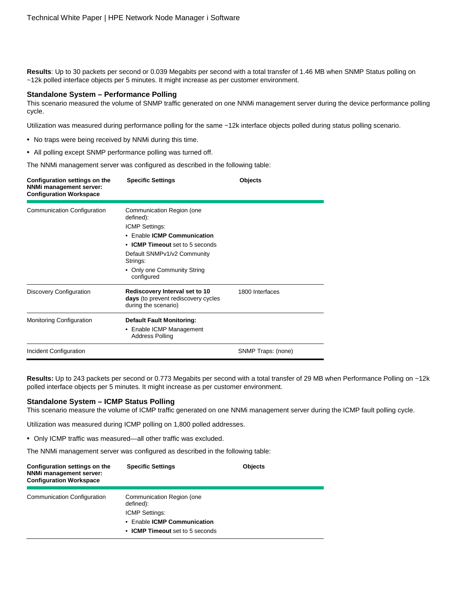**Results**: Up to 30 packets per second or 0.039 Megabits per second with a total transfer of 1.46 MB when SNMP Status polling on ~12k polled interface objects per 5 minutes. It might increase as per customer environment.

#### <span id="page-5-0"></span>**Standalone System – Performance Polling**

This scenario measured the volume of SNMP traffic generated on one NNMi management server during the device performance polling cycle.

Utilization was measured during performance polling for the same ~12k interface objects polled during status polling scenario.

- No traps were being received by NNMi during this time.
- All polling except SNMP performance polling was turned off.

The NNMi management server was configured as described in the following table:

| Configuration settings on the<br><b>NNMi management server:</b><br><b>Configuration Workspace</b> | <b>Specific Settings</b>                                                                      | <b>Objects</b>     |
|---------------------------------------------------------------------------------------------------|-----------------------------------------------------------------------------------------------|--------------------|
| Communication Configuration                                                                       | Communication Region (one<br>defined):                                                        |                    |
|                                                                                                   | ICMP Settings:                                                                                |                    |
|                                                                                                   | • Fnable ICMP Communication                                                                   |                    |
|                                                                                                   | • ICMP Timeout set to 5 seconds                                                               |                    |
|                                                                                                   | Default SNMPv1/v2 Community<br>Strings:                                                       |                    |
|                                                                                                   | • Only one Community String<br>configured                                                     |                    |
| Discovery Configuration                                                                           | Rediscovery Interval set to 10<br>days (to prevent rediscovery cycles<br>during the scenario) | 1800 Interfaces    |
| <b>Monitoring Configuration</b>                                                                   | <b>Default Fault Monitoring:</b>                                                              |                    |
|                                                                                                   | • Enable ICMP Management<br><b>Address Polling</b>                                            |                    |
| Incident Configuration                                                                            |                                                                                               | SNMP Traps: (none) |

**Results:** Up to 243 packets per second or 0.773 Megabits per second with a total transfer of 29 MB when Performance Polling on ~12k polled interface objects per 5 minutes. It might increase as per customer environment.

#### <span id="page-5-1"></span>**Standalone System – ICMP Status Polling**

This scenario measure the volume of ICMP traffic generated on one NNMi management server during the ICMP fault polling cycle.

Utilization was measured during ICMP polling on 1,800 polled addresses.

• Only ICMP traffic was measured—all other traffic was excluded.

| Configuration settings on the<br>NNMi management server:<br><b>Configuration Workspace</b> | <b>Specific Settings</b>                                                                       | <b>Objects</b> |
|--------------------------------------------------------------------------------------------|------------------------------------------------------------------------------------------------|----------------|
| <b>Communication Configuration</b>                                                         | Communication Region (one<br>defined):<br><b>ICMP Settings:</b><br>• Enable ICMP Communication |                |
|                                                                                            | • ICMP Timeout set to 5 seconds                                                                |                |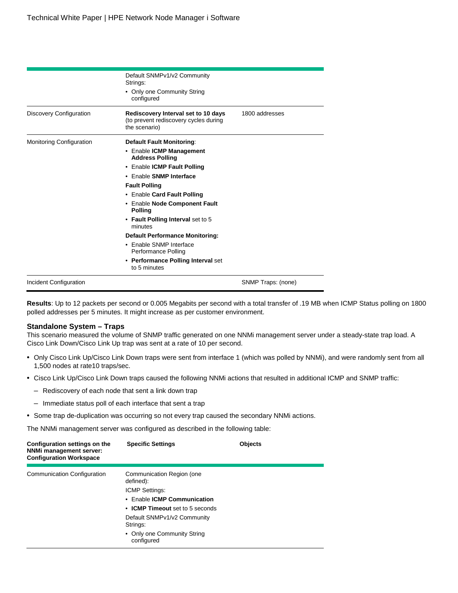|                                | Default SNMPv1/v2 Community<br>Strings:                                                       |                    |
|--------------------------------|-----------------------------------------------------------------------------------------------|--------------------|
|                                | • Only one Community String<br>configured                                                     |                    |
| <b>Discovery Configuration</b> | Rediscovery Interval set to 10 days<br>(to prevent rediscovery cycles during<br>the scenario) | 1800 addresses     |
| Monitoring Configuration       | <b>Default Fault Monitoring:</b>                                                              |                    |
|                                | • Enable ICMP Management<br><b>Address Polling</b>                                            |                    |
|                                | • Enable ICMP Fault Polling                                                                   |                    |
|                                | • Enable SNMP Interface                                                                       |                    |
|                                | <b>Fault Polling</b>                                                                          |                    |
|                                | • Enable Card Fault Polling                                                                   |                    |
|                                | • Enable Node Component Fault<br><b>Polling</b>                                               |                    |
|                                | • Fault Polling Interval set to 5<br>minutes                                                  |                    |
|                                | <b>Default Performance Monitoring:</b>                                                        |                    |
|                                | • Enable SNMP Interface<br>Performance Polling                                                |                    |
|                                | • Performance Polling Interval set<br>to 5 minutes                                            |                    |
| Incident Configuration         |                                                                                               | SNMP Traps: (none) |

**Results**: Up to 12 packets per second or 0.005 Megabits per second with a total transfer of .19 MB when ICMP Status polling on 1800 polled addresses per 5 minutes. It might increase as per customer environment.

#### <span id="page-6-0"></span>**Standalone System – Traps**

This scenario measured the volume of SNMP traffic generated on one NNMi management server under a steady-state trap load. A Cisco Link Down/Cisco Link Up trap was sent at a rate of 10 per second.

- Only Cisco Link Up/Cisco Link Down traps were sent from interface 1 (which was polled by NNMi), and were randomly sent from all 1,500 nodes at rate10 traps/sec.
- Cisco Link Up/Cisco Link Down traps caused the following NNMi actions that resulted in additional ICMP and SNMP traffic:
	- Rediscovery of each node that sent a link down trap
	- Immediate status poll of each interface that sent a trap
- Some trap de-duplication was occurring so not every trap caused the secondary NNMi actions.

| <b>Specific Settings</b>                                                                                                          | <b>Objects</b>                            |
|-----------------------------------------------------------------------------------------------------------------------------------|-------------------------------------------|
| Communication Region (one<br>defined):<br><b>ICMP Settings:</b><br>• Enable ICMP Communication<br>• ICMP Timeout set to 5 seconds |                                           |
| Default SNMPv1/v2 Community<br>Strings:                                                                                           |                                           |
|                                                                                                                                   | • Only one Community String<br>configured |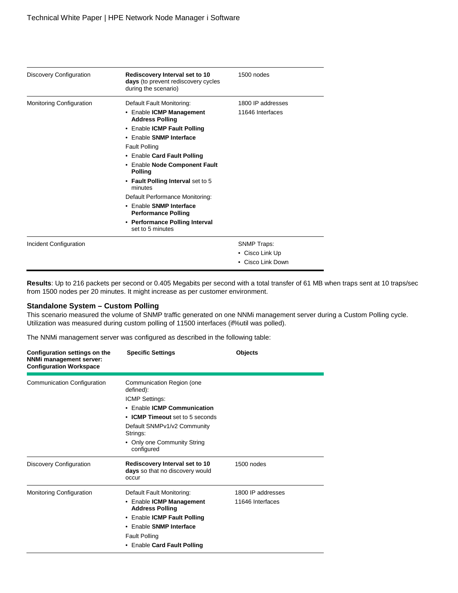| Discovery Configuration         | Rediscovery Interval set to 10<br>days (to prevent rediscovery cycles<br>during the scenario) | 1500 nodes         |
|---------------------------------|-----------------------------------------------------------------------------------------------|--------------------|
| <b>Monitoring Configuration</b> | Default Fault Monitoring:                                                                     | 1800 IP addresses  |
|                                 | • Enable ICMP Management<br><b>Address Polling</b>                                            | 11646 Interfaces   |
|                                 | • Enable ICMP Fault Polling                                                                   |                    |
|                                 | • Enable SNMP Interface                                                                       |                    |
|                                 | <b>Fault Polling</b>                                                                          |                    |
|                                 | • Enable Card Fault Polling                                                                   |                    |
|                                 | • Enable Node Component Fault<br><b>Polling</b>                                               |                    |
|                                 | • Fault Polling Interval set to 5<br>minutes                                                  |                    |
|                                 | Default Performance Monitoring:                                                               |                    |
|                                 | • Enable SNMP Interface<br><b>Performance Polling</b>                                         |                    |
|                                 | • Performance Polling Interval<br>set to 5 minutes                                            |                    |
| Incident Configuration          |                                                                                               | <b>SNMP Traps:</b> |
|                                 |                                                                                               | • Cisco Link Up    |
|                                 |                                                                                               | • Cisco Link Down  |

**Results**: Up to 216 packets per second or 0.405 Megabits per second with a total transfer of 61 MB when traps sent at 10 traps/sec from 1500 nodes per 20 minutes. It might increase as per customer environment.

#### <span id="page-7-0"></span>**Standalone System – Custom Polling**

This scenario measured the volume of SNMP traffic generated on one NNMi management server during a Custom Polling cycle. Utilization was measured during custom polling of 11500 interfaces (if%util was polled).

| Configuration settings on the<br><b>NNMi management server:</b><br><b>Configuration Workspace</b> | <b>Specific Settings</b>                                                                                                   | Objects           |
|---------------------------------------------------------------------------------------------------|----------------------------------------------------------------------------------------------------------------------------|-------------------|
| Communication Configuration                                                                       | Communication Region (one<br>defined):<br>ICMP Settings:<br>• Enable ICMP Communication<br>• ICMP Timeout set to 5 seconds |                   |
|                                                                                                   | Default SNMPv1/v2 Community<br>Strings:                                                                                    |                   |
|                                                                                                   | • Only one Community String<br>configured                                                                                  |                   |
| <b>Discovery Configuration</b>                                                                    | Rediscovery Interval set to 10<br>days so that no discovery would<br>occur                                                 | 1500 nodes        |
| <b>Monitoring Configuration</b>                                                                   | Default Fault Monitoring:                                                                                                  | 1800 IP addresses |
|                                                                                                   | • Enable ICMP Management<br><b>Address Polling</b>                                                                         | 11646 Interfaces  |
|                                                                                                   | • Enable <b>ICMP Fault Polling</b>                                                                                         |                   |
|                                                                                                   | • Enable SNMP Interface                                                                                                    |                   |
|                                                                                                   | <b>Fault Polling</b><br>• Enable Card Fault Polling                                                                        |                   |
|                                                                                                   |                                                                                                                            |                   |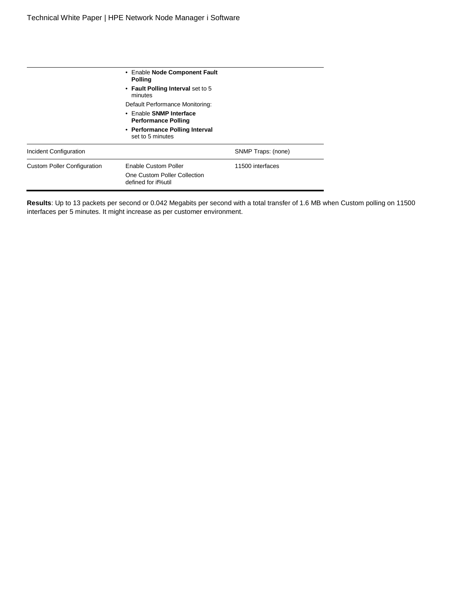$\frac{1}{2}$ 

|                                    | • Enable Node Component Fault<br><b>Polling</b>                                    |                    |
|------------------------------------|------------------------------------------------------------------------------------|--------------------|
|                                    | • Fault Polling Interval set to 5<br>minutes                                       |                    |
|                                    | Default Performance Monitoring:                                                    |                    |
|                                    | • Enable SNMP Interface<br><b>Performance Polling</b>                              |                    |
|                                    | • Performance Polling Interval<br>set to 5 minutes                                 |                    |
| <b>Incident Configuration</b>      |                                                                                    | SNMP Traps: (none) |
| <b>Custom Poller Configuration</b> | <b>Enable Custom Poller</b><br>One Custom Poller Collection<br>defined for if%util | 11500 interfaces   |

**Results**: Up to 13 packets per second or 0.042 Megabits per second with a total transfer of 1.6 MB when Custom polling on 11500 interfaces per 5 minutes. It might increase as per customer environment.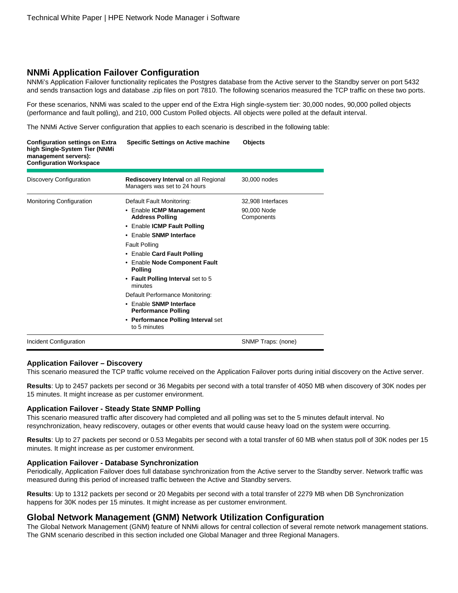#### <span id="page-9-0"></span>**NNMi Application Failover Configuration**

NNMi's Application Failover functionality replicates the Postgres database from the Active server to the Standby server on port 5432 and sends transaction logs and database .zip files on port 7810. The following scenarios measured the TCP traffic on these two ports.

For these scenarios, NNMi was scaled to the upper end of the Extra High single-system tier: 30,000 nodes, 90,000 polled objects (performance and fault polling), and 210, 000 Custom Polled objects. All objects were polled at the default interval.

The NNMi Active Server configuration that applies to each scenario is described in the following table:

| <b>Configuration settings on Extra</b><br>high Single-System Tier (NNMi<br>management servers):<br><b>Configuration Workspace</b> | <b>Specific Settings on Active machine</b>                                  | Objects                   |
|-----------------------------------------------------------------------------------------------------------------------------------|-----------------------------------------------------------------------------|---------------------------|
| Discovery Configuration                                                                                                           | <b>Rediscovery Interval on all Regional</b><br>Managers was set to 24 hours | 30,000 nodes              |
| <b>Monitoring Configuration</b>                                                                                                   | Default Fault Monitoring:                                                   | 32,908 Interfaces         |
|                                                                                                                                   | • Enable ICMP Management<br><b>Address Polling</b>                          | 90,000 Node<br>Components |
|                                                                                                                                   | • Enable ICMP Fault Polling                                                 |                           |
|                                                                                                                                   | • Enable SNMP Interface                                                     |                           |
|                                                                                                                                   | <b>Fault Polling</b>                                                        |                           |
|                                                                                                                                   | • Enable Card Fault Polling                                                 |                           |
|                                                                                                                                   | • Enable Node Component Fault<br><b>Polling</b>                             |                           |
|                                                                                                                                   | • Fault Polling Interval set to 5<br>minutes                                |                           |
|                                                                                                                                   | Default Performance Monitoring:                                             |                           |
|                                                                                                                                   | • Enable SNMP Interface<br><b>Performance Polling</b>                       |                           |
|                                                                                                                                   | • Performance Polling Interval set<br>to 5 minutes                          |                           |
| Incident Configuration                                                                                                            |                                                                             | SNMP Traps: (none)        |

#### <span id="page-9-1"></span>**Application Failover – Discovery**

This scenario measured the TCP traffic volume received on the Application Failover ports during initial discovery on the Active server.

**Results**: Up to 2457 packets per second or 36 Megabits per second with a total transfer of 4050 MB when discovery of 30K nodes per 15 minutes. It might increase as per customer environment.

#### <span id="page-9-2"></span>**Application Failover - Steady State SNMP Polling**

This scenario measured traffic after discovery had completed and all polling was set to the 5 minutes default interval. No resynchronization, heavy rediscovery, outages or other events that would cause heavy load on the system were occurring.

**Results**: Up to 27 packets per second or 0.53 Megabits per second with a total transfer of 60 MB when status poll of 30K nodes per 15 minutes. It might increase as per customer environment.

#### <span id="page-9-3"></span>**Application Failover - Database Synchronization**

Periodically, Application Failover does full database synchronization from the Active server to the Standby server. Network traffic was measured during this period of increased traffic between the Active and Standby servers.

**Results**: Up to 1312 packets per second or 20 Megabits per second with a total transfer of 2279 MB when DB Synchronization happens for 30K nodes per 15 minutes. It might increase as per customer environment.

#### <span id="page-9-4"></span>**Global Network Management (GNM) Network Utilization Configuration**

The Global Network Management (GNM) feature of NNMi allows for central collection of several remote network management stations. The GNM scenario described in this section included one Global Manager and three Regional Managers.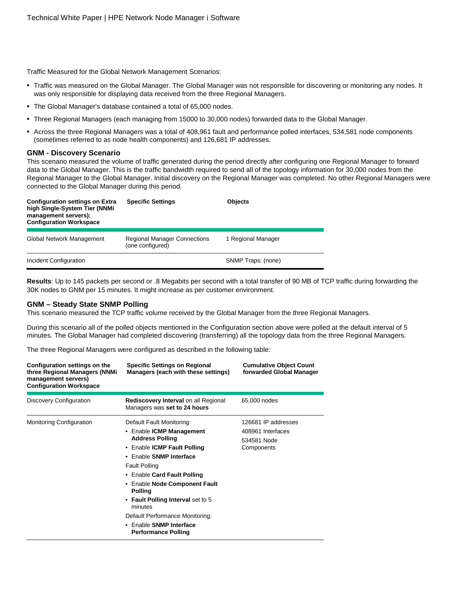Traffic Measured for the Global Network Management Scenarios:

- Traffic was measured on the Global Manager. The Global Manager was not responsible for discovering or monitoring any nodes. It was only responsible for displaying data received from the three Regional Managers.
- The Global Manager's database contained a total of 65,000 nodes.
- Three Regional Managers (each managing from 15000 to 30,000 nodes) forwarded data to the Global Manager.
- Across the three Regional Managers was a total of 408,961 fault and performance polled interfaces, 534,581 node components (sometimes referred to as node health components) and 126,681 IP addresses.

#### <span id="page-10-0"></span>**GNM - Discovery Scenario**

This scenario measured the volume of traffic generated during the period directly after configuring one Regional Manager to forward data to the Global Manager. This is the traffic bandwidth required to send all of the topology information for 30,000 nodes from the Regional Manager to the Global Manager. Initial discovery on the Regional Manager was completed. No other Regional Managers were connected to the Global Manager during this period.

| <b>Configuration settings on Extra</b><br>high Single-System Tier (NNMi<br>management servers):<br><b>Configuration Workspace</b> | <b>Specific Settings</b>                                | <b>Objects</b>     |
|-----------------------------------------------------------------------------------------------------------------------------------|---------------------------------------------------------|--------------------|
| Global Network Management                                                                                                         | <b>Regional Manager Connections</b><br>(one configured) | 1 Regional Manager |
| Incident Configuration                                                                                                            |                                                         | SNMP Traps: (none) |

**Results**: Up to 145 packets per second or .8 Megabits per second with a total transfer of 90 MB of TCP traffic during forwarding the 30K nodes to GNM per 15 minutes. It might increase as per customer environment.

#### <span id="page-10-1"></span>**GNM – Steady State SNMP Polling**

This scenario measured the TCP traffic volume received by the Global Manager from the three Regional Managers.

During this scenario all of the polled objects mentioned in the Configuration section above were polled at the default interval of 5 minutes. The Global Manager had completed discovering (transferring) all the topology data from the three Regional Managers.

The three Regional Managers were configured as described in the following table:

| Configuration settings on the<br>three Regional Managers (NNMi<br>management servers)<br><b>Configuration Workspace</b> | <b>Specific Settings on Regional</b><br>Managers (each with these settings)                                                                                                                                                                                                                                                                                                                     | <b>Cumulative Object Count</b><br>forwarded Global Manager            |
|-------------------------------------------------------------------------------------------------------------------------|-------------------------------------------------------------------------------------------------------------------------------------------------------------------------------------------------------------------------------------------------------------------------------------------------------------------------------------------------------------------------------------------------|-----------------------------------------------------------------------|
| Discovery Configuration                                                                                                 | <b>Rediscovery Interval on all Regional</b><br>Managers was set to 24 hours                                                                                                                                                                                                                                                                                                                     | 65,000 nodes                                                          |
| <b>Monitoring Configuration</b>                                                                                         | Default Fault Monitoring:<br>• Enable ICMP Management<br><b>Address Polling</b><br>• Enable ICMP Fault Polling<br>• Enable SNMP Interface<br><b>Fault Polling</b><br>• Enable Card Fault Polling<br>• Enable Node Component Fault<br><b>Polling</b><br>• Fault Polling Interval set to 5<br>minutes<br>Default Performance Monitoring:<br>• Enable SNMP Interface<br><b>Performance Polling</b> | 126681 IP addresses<br>408961 Interfaces<br>534581 Node<br>Components |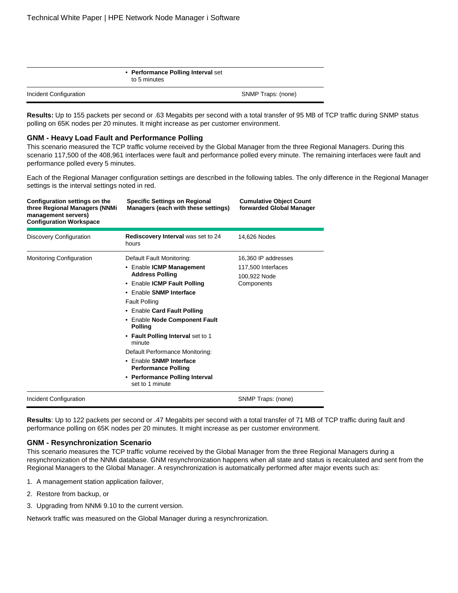• **Performance Polling Interval** set to 5 minutes

Incident Configuration SNMP Traps: (none)

Results: Up to 155 packets per second or .63 Megabits per second with a total transfer of 95 MB of TCP traffic during SNMP status polling on 65K nodes per 20 minutes. It might increase as per customer environment.

#### <span id="page-11-0"></span>**GNM - Heavy Load Fault and Performance Polling**

This scenario measured the TCP traffic volume received by the Global Manager from the three Regional Managers. During this scenario 117,500 of the 408,961 interfaces were fault and performance polled every minute. The remaining interfaces were fault and performance polled every 5 minutes.

Each of the Regional Manager configuration settings are described in the following tables. The only difference in the Regional Manager settings is the interval settings noted in red.

| Configuration settings on the<br>three Regional Managers (NNMi<br>management servers)<br><b>Configuration Workspace</b> | <b>Specific Settings on Regional</b><br>Managers (each with these settings)                                                                                                                                                                                                                                                                                                                                                                         | <b>Cumulative Object Count</b><br>forwarded Global Manager              |
|-------------------------------------------------------------------------------------------------------------------------|-----------------------------------------------------------------------------------------------------------------------------------------------------------------------------------------------------------------------------------------------------------------------------------------------------------------------------------------------------------------------------------------------------------------------------------------------------|-------------------------------------------------------------------------|
| Discovery Configuration                                                                                                 | Rediscovery Interval was set to 24<br>hours                                                                                                                                                                                                                                                                                                                                                                                                         | 14,626 Nodes                                                            |
| <b>Monitoring Configuration</b>                                                                                         | Default Fault Monitoring:<br>• Enable ICMP Management<br><b>Address Polling</b><br>• Enable ICMP Fault Polling<br>• Enable SNMP Interface<br><b>Fault Polling</b><br>• Enable Card Fault Polling<br>• Enable Node Component Fault<br><b>Polling</b><br>• Fault Polling Interval set to 1<br>minute<br>Default Performance Monitoring:<br>• Enable SNMP Interface<br><b>Performance Polling</b><br>• Performance Polling Interval<br>set to 1 minute | 16.360 IP addresses<br>117,500 Interfaces<br>100,922 Node<br>Components |
| Incident Configuration                                                                                                  |                                                                                                                                                                                                                                                                                                                                                                                                                                                     | SNMP Traps: (none)                                                      |

**Results**: Up to 122 packets per second or .47 Megabits per second with a total transfer of 71 MB of TCP traffic during fault and performance polling on 65K nodes per 20 minutes. It might increase as per customer environment.

#### <span id="page-11-1"></span>**GNM - Resynchronization Scenario**

This scenario measures the TCP traffic volume received by the Global Manager from the three Regional Managers during a resynchronization of the NNMi database. GNM resynchronization happens when all state and status is recalculated and sent from the Regional Managers to the Global Manager. A resynchronization is automatically performed after major events such as:

- 1. A management station application failover,
- 2. Restore from backup, or
- 3. Upgrading from NNMi 9.10 to the current version.

Network traffic was measured on the Global Manager during a resynchronization.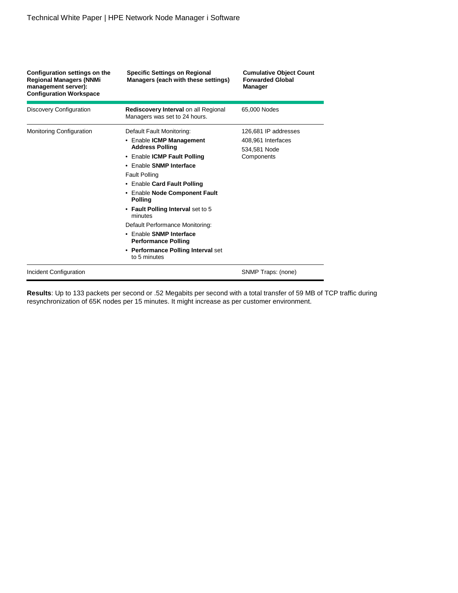| Configuration settings on the<br><b>Regional Managers (NNMi</b><br>management server):<br><b>Configuration Workspace</b> | <b>Specific Settings on Regional</b><br>Managers (each with these settings)                                                                                                                          | <b>Cumulative Object Count</b><br><b>Forwarded Global</b><br>Manager |
|--------------------------------------------------------------------------------------------------------------------------|------------------------------------------------------------------------------------------------------------------------------------------------------------------------------------------------------|----------------------------------------------------------------------|
| Discovery Configuration                                                                                                  | <b>Rediscovery Interval on all Regional</b><br>Managers was set to 24 hours.                                                                                                                         | 65,000 Nodes                                                         |
| <b>Monitoring Configuration</b>                                                                                          | Default Fault Monitoring:                                                                                                                                                                            | 126.681 IP addresses                                                 |
|                                                                                                                          | • Enable ICMP Management<br><b>Address Polling</b><br>• Enable ICMP Fault Polling<br>• Enable SNMP Interface<br><b>Fault Polling</b><br>• Enable Card Fault Polling<br>• Enable Node Component Fault | 408,961 Interfaces<br>534.581 Node<br>Components                     |
|                                                                                                                          | <b>Polling</b><br>• Fault Polling Interval set to 5<br>minutes<br>Default Performance Monitoring:                                                                                                    |                                                                      |
|                                                                                                                          | • Enable SNMP Interface<br><b>Performance Polling</b><br>• Performance Polling Interval set<br>to 5 minutes                                                                                          |                                                                      |
| Incident Configuration                                                                                                   |                                                                                                                                                                                                      | SNMP Traps: (none)                                                   |

**Results**: Up to 133 packets per second or .52 Megabits per second with a total transfer of 59 MB of TCP traffic during resynchronization of 65K nodes per 15 minutes. It might increase as per customer environment.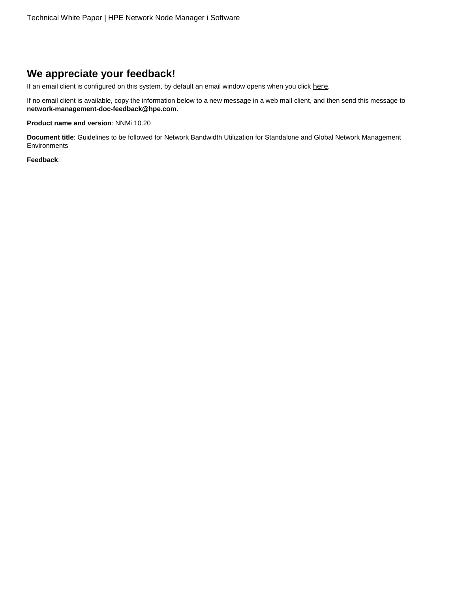## <span id="page-13-0"></span>**We appreciate your feedback!**

If an email client is configured on this system, by default an email window opens when you click [here](mailto:network-management-doc-feedback@hpe.com?subject=Feedback%20on%20Guidelines%20to%20be%20followed%20for%20Network%20Bandwidth%20Utilization%20for%20Standalone%20and%20Global%20Network%20Management%20Environments,%20June%202016%20(10.20)).

If no email client is available, copy the information below to a new message in a web mail client, and then send this message to **network-management-doc-feedback@hpe.com**.

**Product name and version**: NNMi 10.20

**Document title**: Guidelines to be followed for Network Bandwidth Utilization for Standalone and Global Network Management Environments

**Feedback**: